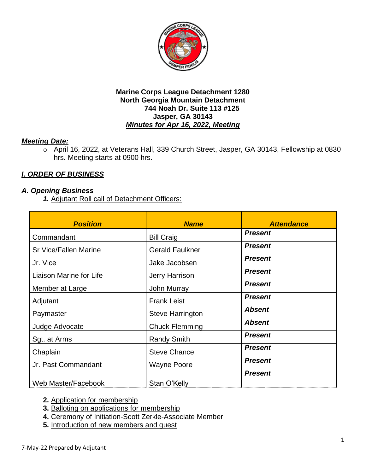

## *Meeting Date:*

o April 16, 2022, at Veterans Hall, 339 Church Street, Jasper, GA 30143, Fellowship at 0830 hrs. Meeting starts at 0900 hrs.

# *I. ORDER OF BUSINESS*

## *A. Opening Business*

*1.* Adjutant Roll call of Detachment Officers:

| <b>Position</b>         | <b>Name</b>             | <b>Attendance</b> |
|-------------------------|-------------------------|-------------------|
| Commandant              | <b>Bill Craig</b>       | <b>Present</b>    |
| Sr Vice/Fallen Marine   | <b>Gerald Faulkner</b>  | <b>Present</b>    |
| Jr. Vice                | Jake Jacobsen           | <b>Present</b>    |
| Liaison Marine for Life | <b>Jerry Harrison</b>   | <b>Present</b>    |
| Member at Large         | <b>John Murray</b>      | <b>Present</b>    |
| Adjutant                | <b>Frank Leist</b>      | <b>Present</b>    |
| Paymaster               | <b>Steve Harrington</b> | <b>Absent</b>     |
| Judge Advocate          | <b>Chuck Flemming</b>   | <b>Absent</b>     |
| Sgt. at Arms            | <b>Randy Smith</b>      | <b>Present</b>    |
| Chaplain                | <b>Steve Chance</b>     | <b>Present</b>    |
| Jr. Past Commandant     | <b>Wayne Poore</b>      | <b>Present</b>    |
| Web Master/Facebook     | Stan O'Kelly            | <b>Present</b>    |

**2.** Application for membership

- **3.** Balloting on applications for membership
- **4.** Ceremony of Initiation-Scott Zerkle-Associate Member
- **5.** Introduction of new members and guest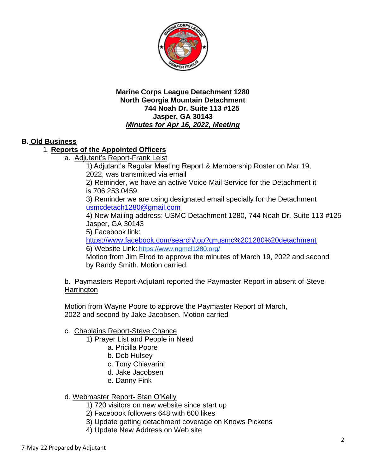

## **B. Old Business**

## 1. **Reports of the Appointed Officers**

a. Adjutant's Report-Frank Leist

1) Adjutant's Regular Meeting Report & Membership Roster on Mar 19, 2022, was transmitted via email

2) Reminder, we have an active Voice Mail Service for the Detachment it is 706.253.0459

3) Reminder we are using designated email specially for the Detachment [usmcdetach1280@gmail.com](mailto:usmcdetach1280@gmail.com)

4) New Mailing address: USMC Detachment 1280, 744 Noah Dr. Suite 113 #125 Jasper, GA 30143

5) Facebook link:

<https://www.facebook.com/search/top?q=usmc%201280%20detachment> 6) Website Link: <https://www.ngmcl1280.org/>

Motion from Jim Elrod to approve the minutes of March 19, 2022 and second by Randy Smith. Motion carried.

b. Paymasters Report-Adjutant reported the Paymaster Report in absent of Steve **Harrington** 

Motion from Wayne Poore to approve the Paymaster Report of March, 2022 and second by Jake Jacobsen. Motion carried

## c. Chaplains Report-Steve Chance

1) Prayer List and People in Need

- a. Pricilla Poore
- b. Deb Hulsey
- c. Tony Chiavarini
- d. Jake Jacobsen
- e. Danny Fink

#### d. Webmaster Report- Stan O'Kelly

- 1) 720 visitors on new website since start up
- 2) Facebook followers 648 with 600 likes
- 3) Update getting detachment coverage on Knows Pickens
- 4) Update New Address on Web site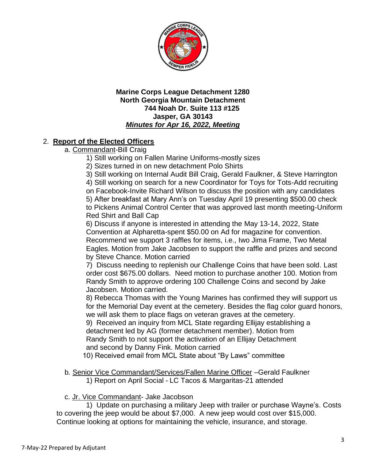

# 2. **Report of the Elected Officers**

- a. Commandant-Bill Craig
	- 1) Still working on Fallen Marine Uniforms-mostly sizes
	- 2) Sizes turned in on new detachment Polo Shirts
	- 3) Still working on Internal Audit Bill Craig, Gerald Faulkner, & Steve Harrington

4) Still working on search for a new Coordinator for Toys for Tots-Add recruiting on Facebook-Invite Richard Wilson to discuss the position with any candidates 5) After breakfast at Mary Ann's on Tuesday April 19 presenting \$500.00 check to Pickens Animal Control Center that was approved last month meeting-Uniform

Red Shirt and Ball Cap

6) Discuss if anyone is interested in attending the May 13-14, 2022, State Convention at Alpharetta-spent \$50.00 on Ad for magazine for convention. Recommend we support 3 raffles for items, i.e., Iwo Jima Frame, Two Metal Eagles. Motion from Jake Jacobsen to support the raffle and prizes and second by Steve Chance. Motion carried

7) Discuss needing to replenish our Challenge Coins that have been sold. Last order cost \$675.00 dollars. Need motion to purchase another 100. Motion from Randy Smith to approve ordering 100 Challenge Coins and second by Jake Jacobsen. Motion carried.

8) Rebecca Thomas with the Young Marines has confirmed they will support us for the Memorial Day event at the cemetery. Besides the flag color guard honors, we will ask them to place flags on veteran graves at the cemetery.

9) Received an inquiry from MCL State regarding Ellijay establishing a detachment led by AG (former detachment member). Motion from Randy Smith to not support the activation of an Ellijay Detachment and second by Danny Fink. Motion carried

- 10) Received email from MCL State about "By Laws" committee
- b. Senior Vice Commandant/Services/Fallen Marine Officer –Gerald Faulkner 1) Report on April Social - LC Tacos & Margaritas-21 attended

## c. Jr. Vice Commandant- Jake Jacobson

1) Update on purchasing a military Jeep with trailer or purchase Wayne's. Costs to covering the jeep would be about \$7,000. A new jeep would cost over \$15,000. Continue looking at options for maintaining the vehicle, insurance, and storage.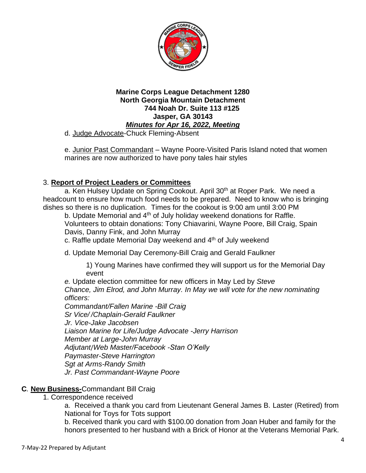

d. Judge Advocate-Chuck Fleming-Absent

e. Junior Past Commandant – Wayne Poore-Visited Paris Island noted that women marines are now authorized to have pony tales hair styles

# 3. **Report of Project Leaders or Committees**

a. Ken Hulsey Update on Spring Cookout. April 30<sup>th</sup> at Roper Park. We need a headcount to ensure how much food needs to be prepared. Need to know who is bringing dishes so there is no duplication. Times for the cookout is 9:00 am until 3:00 PM

b. Update Memorial and 4<sup>th</sup> of July holiday weekend donations for Raffle. Volunteers to obtain donations: Tony Chiavarini, Wayne Poore, Bill Craig, Spain Davis, Danny Fink, and John Murray

c. Raffle update Memorial Day weekend and  $4<sup>th</sup>$  of July weekend

d. Update Memorial Day Ceremony-Bill Craig and Gerald Faulkner

1) Young Marines have confirmed they will support us for the Memorial Day event

*e.* Update election committee for new officers in May Led by *Steve Chance, Jim Elrod, and John Murray. In May we will vote for the new nominating officers:*

*Commandant/Fallen Marine -Bill Craig Sr Vice/ /Chaplain-Gerald Faulkner Jr. Vice-Jake Jacobsen Liaison Marine for Life/Judge Advocate -Jerry Harrison Member at Large-John Murray Adjutant*/*Web Master/Facebook -Stan O'Kelly Paymaster-Steve Harrington Sgt at Arms-Randy Smith Jr. Past Commandant-Wayne Poore*

## **C***.* **New Business-**Commandant Bill Craig

1. Correspondence received

a. Received a thank you card from Lieutenant General James B. Laster (Retired) from National for Toys for Tots support

b. Received thank you card with \$100.00 donation from Joan Huber and family for the honors presented to her husband with a Brick of Honor at the Veterans Memorial Park.